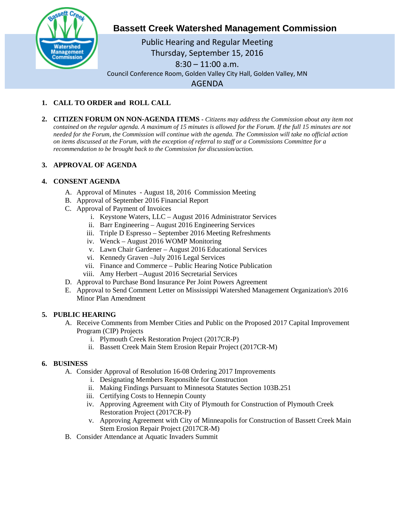

**Bassett Creek Watershed Management Commission**

Public Hearing and Regular Meeting Thursday, September 15, 2016 8:30 – 11:00 a.m. Council Conference Room, Golden Valley City Hall, Golden Valley, MN AGENDA

# **1. CALL TO ORDER and ROLL CALL**

**2. CITIZEN FORUM ON NON-AGENDA ITEMS -** *Citizens may address the Commission about any item not contained on the regular agenda. A maximum of 15 minutes is allowed for the Forum. If the full 15 minutes are not needed for the Forum, the Commission will continue with the agenda. The Commission will take no official action on items discussed at the Forum, with the exception of referral to staff or a Commissions Committee for a recommendation to be brought back to the Commission for discussion/action.*

## **3. APPROVAL OF AGENDA**

### **4. CONSENT AGENDA**

- A. Approval of Minutes August 18, 2016 Commission Meeting
- B. Approval of September 2016 Financial Report
- C. Approval of Payment of Invoices
	- i. Keystone Waters, LLC August 2016 Administrator Services
	- ii. Barr Engineering August 2016 Engineering Services
	- iii. Triple D Espresso September 2016 Meeting Refreshments
	- iv. Wenck August 2016 WOMP Monitoring
	- v. Lawn Chair Gardener August 2016 Educational Services
	- vi. Kennedy Graven –July 2016 Legal Services
	- vii. Finance and Commerce Public Hearing Notice Publication
	- viii. Amy Herbert –August 2016 Secretarial Services
- D. Approval to Purchase Bond Insurance Per Joint Powers Agreement
- E. Approval to Send Comment Letter on Mississippi Watershed Management Organization's 2016 Minor Plan Amendment

### **5. PUBLIC HEARING**

- A. Receive Comments from Member Cities and Public on the Proposed 2017 Capital Improvement Program (CIP) Projects
	- i. Plymouth Creek Restoration Project (2017CR-P)
	- ii. Bassett Creek Main Stem Erosion Repair Project (2017CR-M)

#### **6. BUSINESS**

- A. Consider Approval of Resolution 16-08 Ordering 2017 Improvements
	- i. Designating Members Responsible for Construction
	- ii. Making Findings Pursuant to Minnesota Statutes Section 103B.251
	- iii. Certifying Costs to Hennepin County
	- iv. Approving Agreement with City of Plymouth for Construction of Plymouth Creek Restoration Project (2017CR-P)
	- v. Approving Agreement with City of Minneapolis for Construction of Bassett Creek Main Stem Erosion Repair Project (2017CR-M)
- B. Consider Attendance at Aquatic Invaders Summit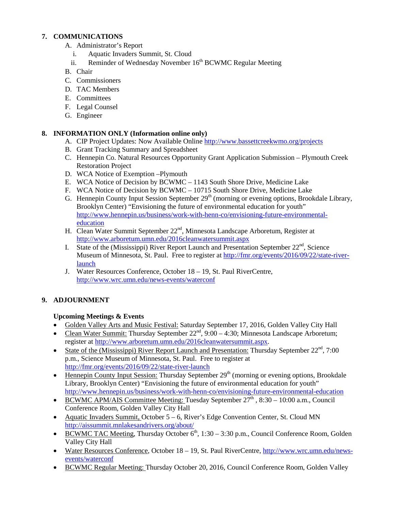### **7. COMMUNICATIONS**

- A. Administrator's Report
	- i. Aquatic Invaders Summit, St. Cloud
	- ii. Reminder of Wednesday November 16<sup>th</sup> BCWMC Regular Meeting
- B. Chair
- C. Commissioners
- D. TAC Members
- E. Committees
- F. Legal Counsel
- G. Engineer

### **8. INFORMATION ONLY (Information online only)**

- A. CIP Project Updates: Now Available Online<http://www.bassettcreekwmo.org/projects>
- B. Grant Tracking Summary and Spreadsheet
- C. Hennepin Co. Natural Resources Opportunity Grant Application Submission Plymouth Creek Restoration Project
- D. WCA Notice of Exemption –Plymouth
- E. WCA Notice of Decision by BCWMC 1143 South Shore Drive, Medicine Lake
- F. WCA Notice of Decision by BCWMC 10715 South Shore Drive, Medicine Lake
- G. Hennepin County Input Session September  $29<sup>th</sup>$  (morning or evening options, Brookdale Library, Brooklyn Center) "Envisioning the future of environmental education for youth" [http://www.hennepin.us/business/work-with-henn-co/envisioning-future-environmental](http://www.hennepin.us/business/work-with-henn-co/envisioning-future-environmental-education)[education](http://www.hennepin.us/business/work-with-henn-co/envisioning-future-environmental-education)
- H. Clean Water Summit September 22<sup>nd</sup>, Minnesota Landscape Arboretum, Register at <http://www.arboretum.umn.edu/2016cleanwatersummit.aspx>
- I. State of the (Mississippi) River Report Launch and Presentation September  $22<sup>nd</sup>$ , Science Museum of Minnesota, St. Paul. Free to register at [http://fmr.org/events/2016/09/22/state-river](http://fmr.org/events/2016/09/22/state-river-launch)[launch](http://fmr.org/events/2016/09/22/state-river-launch)
- J. Water Resources Conference, October 18 19, St. Paul RiverCentre, <http://www.wrc.umn.edu/news-events/waterconf>

## **9. ADJOURNMENT**

### **Upcoming Meetings & Events**

- Golden Valley Arts and Music Festival: Saturday September 17, 2016, Golden Valley City Hall
- Clean Water Summit: Thursday September  $22^{nd}$ ,  $9:00 4:30$ ; Minnesota Landscape Arboretum; register at [http://www.arboretum.umn.edu/2016cleanwatersummit.aspx.](http://www.arboretum.umn.edu/2016cleanwatersummit.aspx)
- State of the (Mississippi) River Report Launch and Presentation: Thursday September  $22<sup>nd</sup>$ , 7:00 p.m., Science Museum of Minnesota, St. Paul. Free to register at <http://fmr.org/events/2016/09/22/state-river-launch>
- Hennepin County Input Session: Thursday September  $29<sup>th</sup>$  (morning or evening options, Brookdale Library, Brooklyn Center) "Envisioning the future of environmental education for youth" <http://www.hennepin.us/business/work-with-henn-co/envisioning-future-environmental-education>
- BCWMC APM/AIS Committee Meeting: Tuesday September  $27^{\text{th}}$ , 8:30 10:00 a.m., Council Conference Room, Golden Valley City Hall
- Aquatic Invaders Summit, October 5 6, River's Edge Convention Center, St. Cloud MN <http://aissummit.mnlakesandrivers.org/about/>
- BCWMC TAC Meeting, Thursday October  $6<sup>th</sup>$ , 1:30 3:30 p.m., Council Conference Room, Golden Valley City Hall
- Water Resources Conference, October 18 19, St. Paul RiverCentre, [http://www.wrc.umn.edu/news](http://www.wrc.umn.edu/news-events/waterconf)[events/waterconf](http://www.wrc.umn.edu/news-events/waterconf)
- BCWMC Regular Meeting: Thursday October 20, 2016, Council Conference Room, Golden Valley